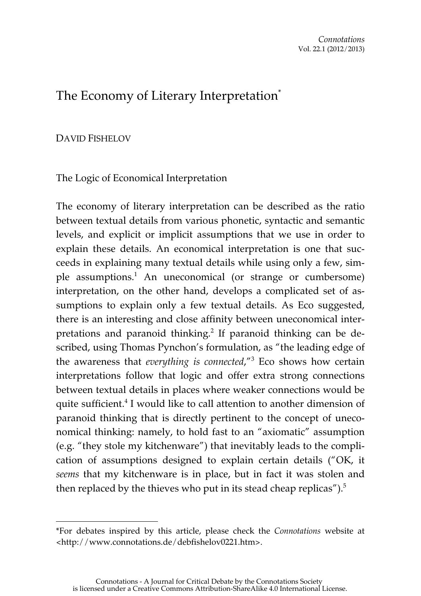# The Economy of Literary Interpretation<sup>\*</sup>

# DAVID FISHELOV

 $\overline{a}$ 

The Logic of Economical Interpretation

The economy of literary interpretation can be described as the ratio between textual details from various phonetic, syntactic and semantic levels, and explicit or implicit assumptions that we use in order to explain these details. An economical interpretation is one that succeeds in explaining many textual details while using only a few, simple assumptions.<sup>1</sup> An uneconomical (or strange or cumbersome) interpretation, on the other hand, develops a complicated set of assumptions to explain only a few textual details. As Eco suggested, there is an interesting and close affinity between uneconomical interpretations and paranoid thinking.<sup>2</sup> If paranoid thinking can be described, using Thomas Pynchon's formulation, as "the leading edge of the awareness that *everything is connected*,"3 Eco shows how certain interpretations follow that logic and offer extra strong connections between textual details in places where weaker connections would be quite sufficient.<sup>4</sup> I would like to call attention to another dimension of paranoid thinking that is directly pertinent to the concept of uneconomical thinking: namely, to hold fast to an "axiomatic" assumption (e.g. "they stole my kitchenware") that inevitably leads to the complication of assumptions designed to explain certain details ("OK, it *seems* that my kitchenware is in place, but in fact it was stolen and then replaced by the thieves who put in its stead cheap replicas"). $5$ 

<sup>\*</sup>For debates inspired by this article, please check the *Connotations* website at <http://www.connotations.de/debfishelov0221.htm>.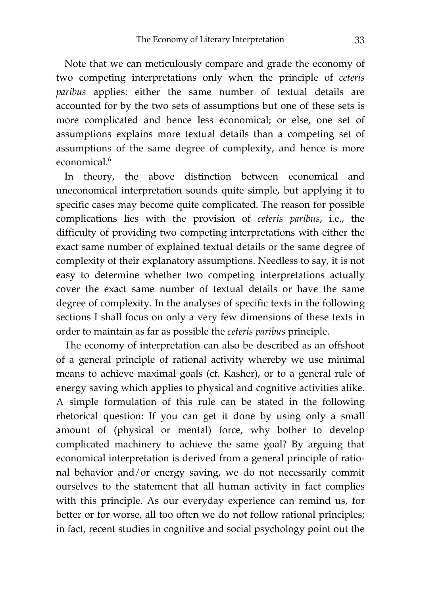Note that we can meticulously compare and grade the economy of two competing interpretations only when the principle of *ceteris paribus* applies: either the same number of textual details are accounted for by the two sets of assumptions but one of these sets is more complicated and hence less economical; or else, one set of assumptions explains more textual details than a competing set of assumptions of the same degree of complexity, and hence is more economical.<sup>6</sup>

In theory, the above distinction between economical and uneconomical interpretation sounds quite simple, but applying it to specific cases may become quite complicated. The reason for possible complications lies with the provision of *ceteris paribus*, i.e., the difficulty of providing two competing interpretations with either the exact same number of explained textual details or the same degree of complexity of their explanatory assumptions. Needless to say, it is not easy to determine whether two competing interpretations actually cover the exact same number of textual details or have the same degree of complexity. In the analyses of specific texts in the following sections I shall focus on only a very few dimensions of these texts in order to maintain as far as possible the *ceteris paribus* principle.

The economy of interpretation can also be described as an offshoot of a general principle of rational activity whereby we use minimal means to achieve maximal goals (cf. Kasher), or to a general rule of energy saving which applies to physical and cognitive activities alike. A simple formulation of this rule can be stated in the following rhetorical question: If you can get it done by using only a small amount of (physical or mental) force, why bother to develop complicated machinery to achieve the same goal? By arguing that economical interpretation is derived from a general principle of rational behavior and/or energy saving, we do not necessarily commit ourselves to the statement that all human activity in fact complies with this principle. As our everyday experience can remind us, for better or for worse, all too often we do not follow rational principles; in fact, recent studies in cognitive and social psychology point out the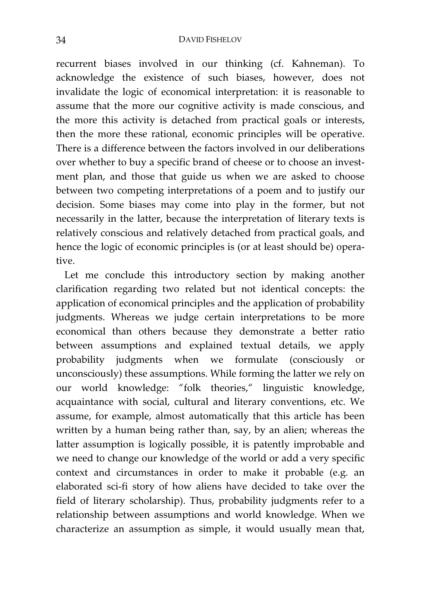#### 34 DAVID FISHELOV

recurrent biases involved in our thinking (cf. Kahneman). To acknowledge the existence of such biases, however, does not invalidate the logic of economical interpretation: it is reasonable to assume that the more our cognitive activity is made conscious, and the more this activity is detached from practical goals or interests, then the more these rational, economic principles will be operative. There is a difference between the factors involved in our deliberations over whether to buy a specific brand of cheese or to choose an investment plan, and those that guide us when we are asked to choose between two competing interpretations of a poem and to justify our decision. Some biases may come into play in the former, but not necessarily in the latter, because the interpretation of literary texts is relatively conscious and relatively detached from practical goals, and hence the logic of economic principles is (or at least should be) operative.

Let me conclude this introductory section by making another clarification regarding two related but not identical concepts: the application of economical principles and the application of probability judgments. Whereas we judge certain interpretations to be more economical than others because they demonstrate a better ratio between assumptions and explained textual details, we apply probability judgments when we formulate (consciously or unconsciously) these assumptions. While forming the latter we rely on our world knowledge: "folk theories," linguistic knowledge, acquaintance with social, cultural and literary conventions, etc. We assume, for example, almost automatically that this article has been written by a human being rather than, say, by an alien; whereas the latter assumption is logically possible, it is patently improbable and we need to change our knowledge of the world or add a very specific context and circumstances in order to make it probable (e.g. an elaborated sci-fi story of how aliens have decided to take over the field of literary scholarship). Thus, probability judgments refer to a relationship between assumptions and world knowledge. When we characterize an assumption as simple, it would usually mean that,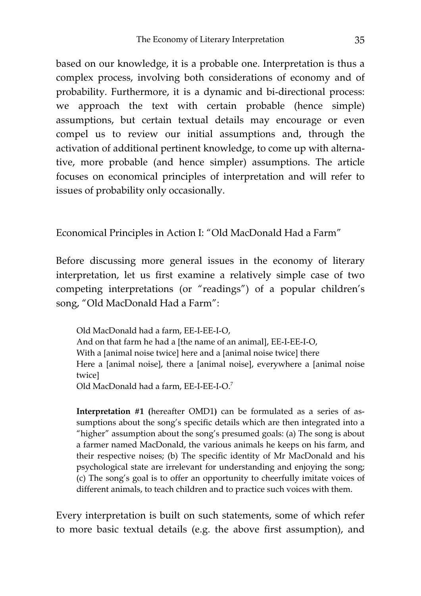based on our knowledge, it is a probable one. Interpretation is thus a complex process, involving both considerations of economy and of probability. Furthermore, it is a dynamic and bi-directional process: we approach the text with certain probable (hence simple) assumptions, but certain textual details may encourage or even compel us to review our initial assumptions and, through the activation of additional pertinent knowledge, to come up with alternative, more probable (and hence simpler) assumptions. The article focuses on economical principles of interpretation and will refer to issues of probability only occasionally.

Economical Principles in Action I: "Old MacDonald Had a Farm"

Before discussing more general issues in the economy of literary interpretation, let us first examine a relatively simple case of two competing interpretations (or "readings") of a popular children's song, "Old MacDonald Had a Farm":

Old MacDonald had a farm, EE-I-EE-I-O, And on that farm he had a [the name of an animal], EE-I-EE-I-O, With a [animal noise twice] here and a [animal noise twice] there Here a [animal noise], there a [animal noise], everywhere a [animal noise twice] Old MacDonald had a farm, EE-I-EE-I-O.7

**Interpretation #1 (**hereafter OMD1**)** can be formulated as a series of assumptions about the song's specific details which are then integrated into a "higher" assumption about the song's presumed goals: (a) The song is about a farmer named MacDonald, the various animals he keeps on his farm, and their respective noises; (b) The specific identity of Mr MacDonald and his psychological state are irrelevant for understanding and enjoying the song; (c) The song's goal is to offer an opportunity to cheerfully imitate voices of different animals, to teach children and to practice such voices with them.

Every interpretation is built on such statements, some of which refer to more basic textual details (e.g. the above first assumption), and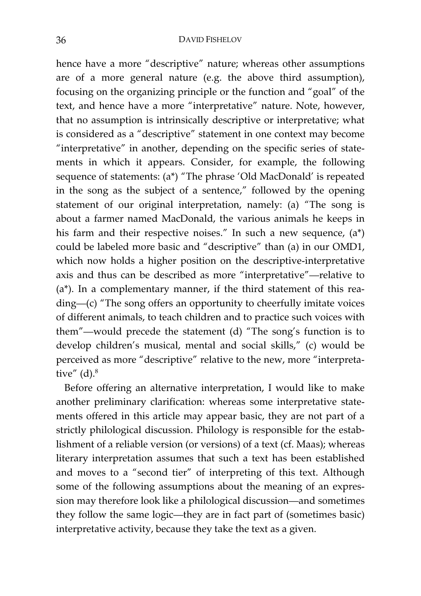#### 36 DAVID FISHELOV

hence have a more "descriptive" nature; whereas other assumptions are of a more general nature (e.g. the above third assumption), focusing on the organizing principle or the function and "goal" of the text, and hence have a more "interpretative" nature. Note, however, that no assumption is intrinsically descriptive or interpretative; what is considered as a "descriptive" statement in one context may become "interpretative" in another, depending on the specific series of statements in which it appears. Consider, for example, the following sequence of statements: (a\*) "The phrase 'Old MacDonald' is repeated in the song as the subject of a sentence," followed by the opening statement of our original interpretation, namely: (a) "The song is about a farmer named MacDonald, the various animals he keeps in his farm and their respective noises." In such a new sequence, (a\*) could be labeled more basic and "descriptive" than (a) in our OMD1, which now holds a higher position on the descriptive-interpretative axis and thus can be described as more "interpretative"—relative to (a\*). In a complementary manner, if the third statement of this reading—(c) "The song offers an opportunity to cheerfully imitate voices of different animals, to teach children and to practice such voices with them"—would precede the statement (d) "The song's function is to develop children's musical, mental and social skills," (c) would be perceived as more "descriptive" relative to the new, more "interpretative"  $(d)$ .<sup>8</sup>

Before offering an alternative interpretation, I would like to make another preliminary clarification: whereas some interpretative statements offered in this article may appear basic, they are not part of a strictly philological discussion. Philology is responsible for the establishment of a reliable version (or versions) of a text (cf. Maas); whereas literary interpretation assumes that such a text has been established and moves to a "second tier" of interpreting of this text. Although some of the following assumptions about the meaning of an expression may therefore look like a philological discussion—and sometimes they follow the same logic—they are in fact part of (sometimes basic) interpretative activity, because they take the text as a given.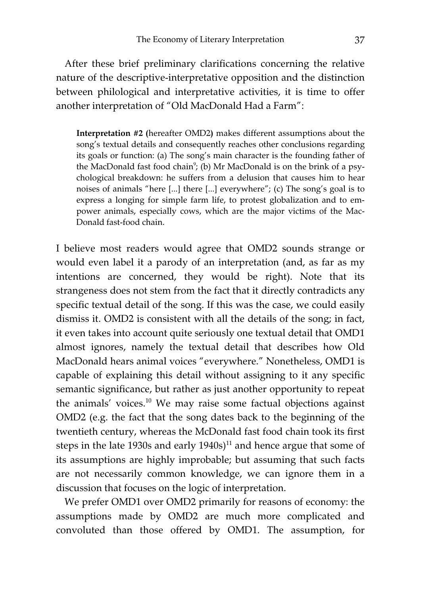After these brief preliminary clarifications concerning the relative nature of the descriptive-interpretative opposition and the distinction between philological and interpretative activities, it is time to offer another interpretation of "Old MacDonald Had a Farm":

**Interpretation #2 (**hereafter OMD2**)** makes different assumptions about the song's textual details and consequently reaches other conclusions regarding its goals or function: (a) The song's main character is the founding father of the MacDonald fast food chain<sup>9</sup>; (b) Mr MacDonald is on the brink of a psychological breakdown: he suffers from a delusion that causes him to hear noises of animals "here [...] there [...] everywhere"; (c) The song's goal is to express a longing for simple farm life, to protest globalization and to empower animals, especially cows, which are the major victims of the Mac-Donald fast-food chain.

I believe most readers would agree that OMD2 sounds strange or would even label it a parody of an interpretation (and, as far as my intentions are concerned, they would be right). Note that its strangeness does not stem from the fact that it directly contradicts any specific textual detail of the song. If this was the case, we could easily dismiss it. OMD2 is consistent with all the details of the song; in fact, it even takes into account quite seriously one textual detail that OMD1 almost ignores, namely the textual detail that describes how Old MacDonald hears animal voices "everywhere." Nonetheless, OMD1 is capable of explaining this detail without assigning to it any specific semantic significance, but rather as just another opportunity to repeat the animals' voices.<sup>10</sup> We may raise some factual objections against OMD2 (e.g. the fact that the song dates back to the beginning of the twentieth century, whereas the McDonald fast food chain took its first steps in the late 1930s and early  $1940s$ <sup>11</sup> and hence argue that some of its assumptions are highly improbable; but assuming that such facts are not necessarily common knowledge, we can ignore them in a discussion that focuses on the logic of interpretation.

We prefer OMD1 over OMD2 primarily for reasons of economy: the assumptions made by OMD2 are much more complicated and convoluted than those offered by OMD1. The assumption, for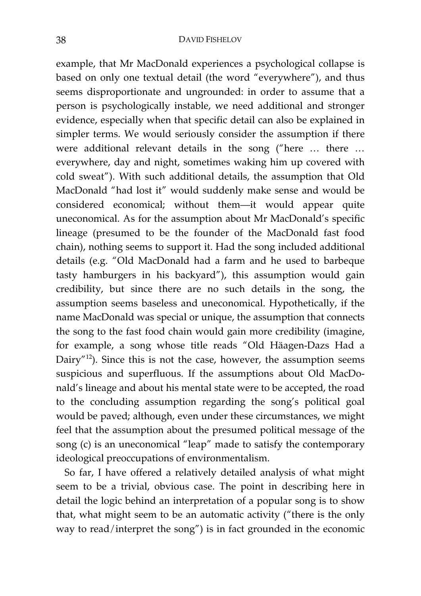example, that Mr MacDonald experiences a psychological collapse is based on only one textual detail (the word "everywhere"), and thus seems disproportionate and ungrounded: in order to assume that a person is psychologically instable, we need additional and stronger evidence, especially when that specific detail can also be explained in simpler terms. We would seriously consider the assumption if there were additional relevant details in the song ("here … there … everywhere, day and night, sometimes waking him up covered with cold sweat"). With such additional details, the assumption that Old MacDonald "had lost it" would suddenly make sense and would be considered economical; without them—it would appear quite uneconomical. As for the assumption about Mr MacDonald's specific lineage (presumed to be the founder of the MacDonald fast food chain), nothing seems to support it. Had the song included additional details (e.g. "Old MacDonald had a farm and he used to barbeque tasty hamburgers in his backyard"), this assumption would gain credibility, but since there are no such details in the song, the assumption seems baseless and uneconomical. Hypothetically, if the name MacDonald was special or unique, the assumption that connects the song to the fast food chain would gain more credibility (imagine, for example, a song whose title reads "Old Häagen-Dazs Had a Dairy"<sup>12</sup>). Since this is not the case, however, the assumption seems suspicious and superfluous. If the assumptions about Old MacDonald's lineage and about his mental state were to be accepted, the road to the concluding assumption regarding the song's political goal would be paved; although, even under these circumstances, we might feel that the assumption about the presumed political message of the song (c) is an uneconomical "leap" made to satisfy the contemporary ideological preoccupations of environmentalism.

So far, I have offered a relatively detailed analysis of what might seem to be a trivial, obvious case. The point in describing here in detail the logic behind an interpretation of a popular song is to show that, what might seem to be an automatic activity ("there is the only way to read/interpret the song") is in fact grounded in the economic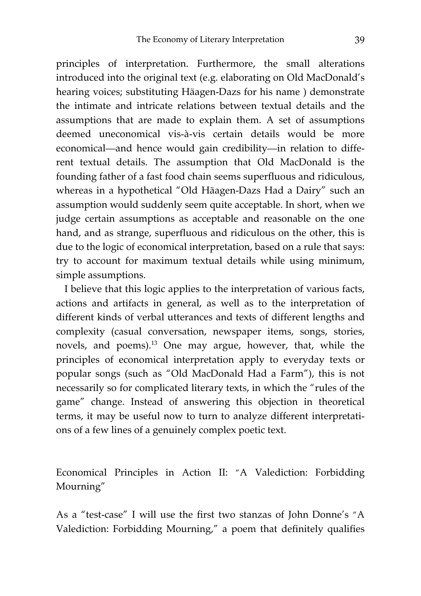principles of interpretation. Furthermore, the small alterations introduced into the original text (e.g. elaborating on Old MacDonald's hearing voices; substituting Häagen-Dazs for his name ) demonstrate the intimate and intricate relations between textual details and the assumptions that are made to explain them. A set of assumptions deemed uneconomical vis-à-vis certain details would be more economical—and hence would gain credibility—in relation to different textual details. The assumption that Old MacDonald is the founding father of a fast food chain seems superfluous and ridiculous, whereas in a hypothetical "Old Häagen-Dazs Had a Dairy" such an assumption would suddenly seem quite acceptable. In short, when we judge certain assumptions as acceptable and reasonable on the one hand, and as strange, superfluous and ridiculous on the other, this is due to the logic of economical interpretation, based on a rule that says: try to account for maximum textual details while using minimum, simple assumptions.

I believe that this logic applies to the interpretation of various facts, actions and artifacts in general, as well as to the interpretation of different kinds of verbal utterances and texts of different lengths and complexity (casual conversation, newspaper items, songs, stories, novels, and poems).<sup>13</sup> One may argue, however, that, while the principles of economical interpretation apply to everyday texts or popular songs (such as "Old MacDonald Had a Farm"), this is not necessarily so for complicated literary texts, in which the "rules of the game" change. Instead of answering this objection in theoretical terms, it may be useful now to turn to analyze different interpretations of a few lines of a genuinely complex poetic text.

Economical Principles in Action II: "A Valediction: Forbidding Mourning"

As a "test-case" I will use the first two stanzas of John Donne's "A Valediction: Forbidding Mourning," a poem that definitely qualifies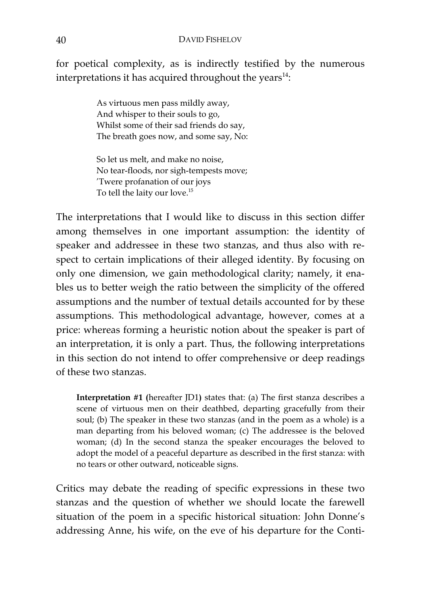for poetical complexity, as is indirectly testified by the numerous interpretations it has acquired throughout the years $^{14}$ :

> As virtuous men pass mildly away, And whisper to their souls to go, Whilst some of their sad friends do say, The breath goes now, and some say, No:

> So let us melt, and make no noise, No tear-floods, nor sigh-tempests move; 'Twere profanation of our joys To tell the laity our love.<sup>15</sup>

The interpretations that I would like to discuss in this section differ among themselves in one important assumption: the identity of speaker and addressee in these two stanzas, and thus also with respect to certain implications of their alleged identity. By focusing on only one dimension, we gain methodological clarity; namely, it enables us to better weigh the ratio between the simplicity of the offered assumptions and the number of textual details accounted for by these assumptions. This methodological advantage, however, comes at a price: whereas forming a heuristic notion about the speaker is part of an interpretation, it is only a part. Thus, the following interpretations in this section do not intend to offer comprehensive or deep readings of these two stanzas.

**Interpretation #1 (**hereafter JD1**)** states that: (a) The first stanza describes a scene of virtuous men on their deathbed, departing gracefully from their soul; (b) The speaker in these two stanzas (and in the poem as a whole) is a man departing from his beloved woman; (c) The addressee is the beloved woman; (d) In the second stanza the speaker encourages the beloved to adopt the model of a peaceful departure as described in the first stanza: with no tears or other outward, noticeable signs.

Critics may debate the reading of specific expressions in these two stanzas and the question of whether we should locate the farewell situation of the poem in a specific historical situation: John Donne's addressing Anne, his wife, on the eve of his departure for the Conti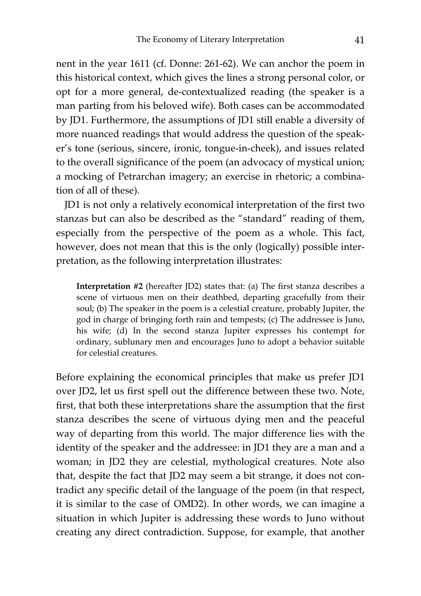nent in the year 1611 (cf. Donne: 261-62). We can anchor the poem in this historical context, which gives the lines a strong personal color, or opt for a more general, de-contextualized reading (the speaker is a man parting from his beloved wife). Both cases can be accommodated by JD1. Furthermore, the assumptions of JD1 still enable a diversity of more nuanced readings that would address the question of the speaker's tone (serious, sincere, ironic, tongue-in-cheek), and issues related to the overall significance of the poem (an advocacy of mystical union; a mocking of Petrarchan imagery; an exercise in rhetoric; a combination of all of these).

JD1 is not only a relatively economical interpretation of the first two stanzas but can also be described as the "standard" reading of them, especially from the perspective of the poem as a whole. This fact, however, does not mean that this is the only (logically) possible interpretation, as the following interpretation illustrates:

**Interpretation #2** (hereafter JD2) states that: (a) The first stanza describes a scene of virtuous men on their deathbed, departing gracefully from their soul; (b) The speaker in the poem is a celestial creature, probably Jupiter, the god in charge of bringing forth rain and tempests; (c) The addressee is Juno, his wife; (d) In the second stanza Jupiter expresses his contempt for ordinary, sublunary men and encourages Juno to adopt a behavior suitable for celestial creatures.

Before explaining the economical principles that make us prefer JD1 over JD2, let us first spell out the difference between these two. Note, first, that both these interpretations share the assumption that the first stanza describes the scene of virtuous dying men and the peaceful way of departing from this world. The major difference lies with the identity of the speaker and the addressee: in JD1 they are a man and a woman; in JD2 they are celestial, mythological creatures. Note also that, despite the fact that JD2 may seem a bit strange, it does not contradict any specific detail of the language of the poem (in that respect, it is similar to the case of OMD2). In other words, we can imagine a situation in which Jupiter is addressing these words to Juno without creating any direct contradiction. Suppose, for example, that another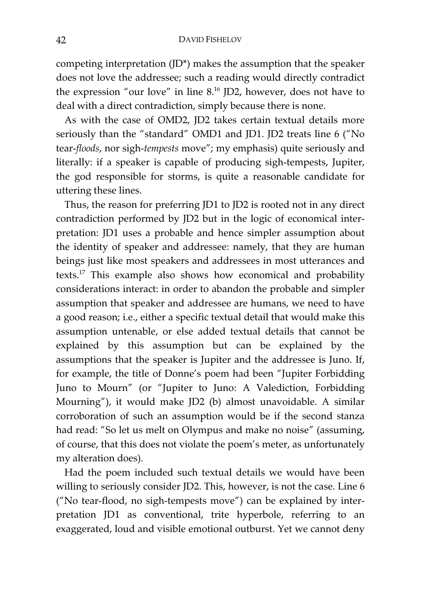competing interpretation (JD\*) makes the assumption that the speaker does not love the addressee; such a reading would directly contradict the expression "our love" in line  $8^{16}$  JD2, however, does not have to deal with a direct contradiction, simply because there is none.

As with the case of OMD2, JD2 takes certain textual details more seriously than the "standard" OMD1 and JD1. JD2 treats line 6 ("No tear-*floods*, nor sigh-*tempests* move"; my emphasis) quite seriously and literally: if a speaker is capable of producing sigh-tempests, Jupiter, the god responsible for storms, is quite a reasonable candidate for uttering these lines.

Thus, the reason for preferring JD1 to JD2 is rooted not in any direct contradiction performed by JD2 but in the logic of economical interpretation: JD1 uses a probable and hence simpler assumption about the identity of speaker and addressee: namely, that they are human beings just like most speakers and addressees in most utterances and texts.17 This example also shows how economical and probability considerations interact: in order to abandon the probable and simpler assumption that speaker and addressee are humans, we need to have a good reason; i.e., either a specific textual detail that would make this assumption untenable, or else added textual details that cannot be explained by this assumption but can be explained by the assumptions that the speaker is Jupiter and the addressee is Juno. If, for example, the title of Donne's poem had been "Jupiter Forbidding Juno to Mourn" (or "Jupiter to Juno: A Valediction, Forbidding Mourning"), it would make JD2 (b) almost unavoidable. A similar corroboration of such an assumption would be if the second stanza had read: "So let us melt on Olympus and make no noise" (assuming, of course, that this does not violate the poem's meter, as unfortunately my alteration does).

Had the poem included such textual details we would have been willing to seriously consider JD2. This, however, is not the case. Line 6 ("No tear-flood, no sigh-tempests move") can be explained by interpretation JD1 as conventional, trite hyperbole, referring to an exaggerated, loud and visible emotional outburst. Yet we cannot deny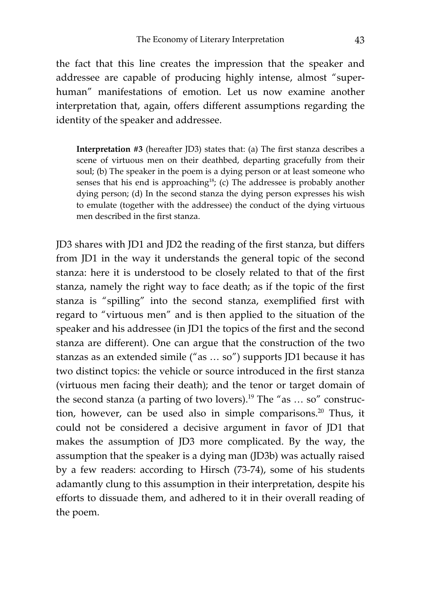the fact that this line creates the impression that the speaker and addressee are capable of producing highly intense, almost "superhuman" manifestations of emotion. Let us now examine another interpretation that, again, offers different assumptions regarding the identity of the speaker and addressee.

**Interpretation #3** (hereafter JD3) states that: (a) The first stanza describes a scene of virtuous men on their deathbed, departing gracefully from their soul; (b) The speaker in the poem is a dying person or at least someone who senses that his end is approaching<sup>18</sup>; (c) The addressee is probably another dying person; (d) In the second stanza the dying person expresses his wish to emulate (together with the addressee) the conduct of the dying virtuous men described in the first stanza.

JD3 shares with JD1 and JD2 the reading of the first stanza, but differs from JD1 in the way it understands the general topic of the second stanza: here it is understood to be closely related to that of the first stanza, namely the right way to face death; as if the topic of the first stanza is "spilling" into the second stanza, exemplified first with regard to "virtuous men" and is then applied to the situation of the speaker and his addressee (in JD1 the topics of the first and the second stanza are different). One can argue that the construction of the two stanzas as an extended simile ("as … so") supports JD1 because it has two distinct topics: the vehicle or source introduced in the first stanza (virtuous men facing their death); and the tenor or target domain of the second stanza (a parting of two lovers).<sup>19</sup> The "as ... so" construction, however, can be used also in simple comparisons.<sup>20</sup> Thus, it could not be considered a decisive argument in favor of JD1 that makes the assumption of JD3 more complicated. By the way, the assumption that the speaker is a dying man (JD3b) was actually raised by a few readers: according to Hirsch (73-74), some of his students adamantly clung to this assumption in their interpretation, despite his efforts to dissuade them, and adhered to it in their overall reading of the poem.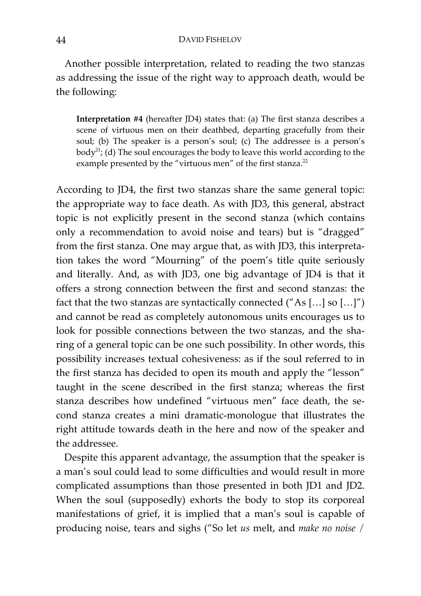Another possible interpretation, related to reading the two stanzas as addressing the issue of the right way to approach death, would be the following:

**Interpretation #4** (hereafter JD4) states that: (a) The first stanza describes a scene of virtuous men on their deathbed, departing gracefully from their soul; (b) The speaker is a person's soul; (c) The addressee is a person's body<sup>21</sup>; (d) The soul encourages the body to leave this world according to the example presented by the "virtuous men" of the first stanza.<sup>22</sup>

According to JD4, the first two stanzas share the same general topic: the appropriate way to face death. As with JD3, this general, abstract topic is not explicitly present in the second stanza (which contains only a recommendation to avoid noise and tears) but is "dragged" from the first stanza. One may argue that, as with JD3, this interpretation takes the word "Mourning" of the poem's title quite seriously and literally. And, as with JD3, one big advantage of JD4 is that it offers a strong connection between the first and second stanzas: the fact that the two stanzas are syntactically connected  $("As [...] so [...]")$ and cannot be read as completely autonomous units encourages us to look for possible connections between the two stanzas, and the sharing of a general topic can be one such possibility. In other words, this possibility increases textual cohesiveness: as if the soul referred to in the first stanza has decided to open its mouth and apply the "lesson" taught in the scene described in the first stanza; whereas the first stanza describes how undefined "virtuous men" face death, the second stanza creates a mini dramatic-monologue that illustrates the right attitude towards death in the here and now of the speaker and the addressee.

Despite this apparent advantage, the assumption that the speaker is a man's soul could lead to some difficulties and would result in more complicated assumptions than those presented in both JD1 and JD2. When the soul (supposedly) exhorts the body to stop its corporeal manifestations of grief, it is implied that a man's soul is capable of producing noise, tears and sighs ("So let *us* melt, and *make no noise* /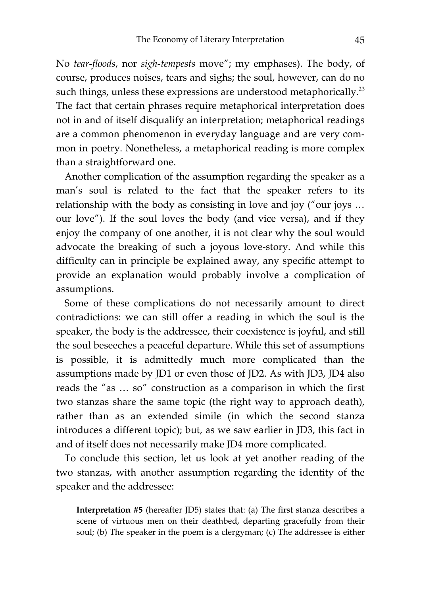No *tear-floods*, nor *sigh-tempests* move"; my emphases). The body, of course, produces noises, tears and sighs; the soul, however, can do no such things, unless these expressions are understood metaphorically.<sup>23</sup> The fact that certain phrases require metaphorical interpretation does not in and of itself disqualify an interpretation; metaphorical readings are a common phenomenon in everyday language and are very common in poetry. Nonetheless, a metaphorical reading is more complex than a straightforward one.

Another complication of the assumption regarding the speaker as a man's soul is related to the fact that the speaker refers to its relationship with the body as consisting in love and joy ("our joys … our love"). If the soul loves the body (and vice versa), and if they enjoy the company of one another, it is not clear why the soul would advocate the breaking of such a joyous love-story. And while this difficulty can in principle be explained away, any specific attempt to provide an explanation would probably involve a complication of assumptions.

Some of these complications do not necessarily amount to direct contradictions: we can still offer a reading in which the soul is the speaker, the body is the addressee, their coexistence is joyful, and still the soul beseeches a peaceful departure. While this set of assumptions is possible, it is admittedly much more complicated than the assumptions made by JD1 or even those of JD2. As with JD3, JD4 also reads the "as … so" construction as a comparison in which the first two stanzas share the same topic (the right way to approach death), rather than as an extended simile (in which the second stanza introduces a different topic); but, as we saw earlier in JD3, this fact in and of itself does not necessarily make JD4 more complicated.

To conclude this section, let us look at yet another reading of the two stanzas, with another assumption regarding the identity of the speaker and the addressee:

**Interpretation #5** (hereafter JD5) states that: (a) The first stanza describes a scene of virtuous men on their deathbed, departing gracefully from their soul; (b) The speaker in the poem is a clergyman; (c) The addressee is either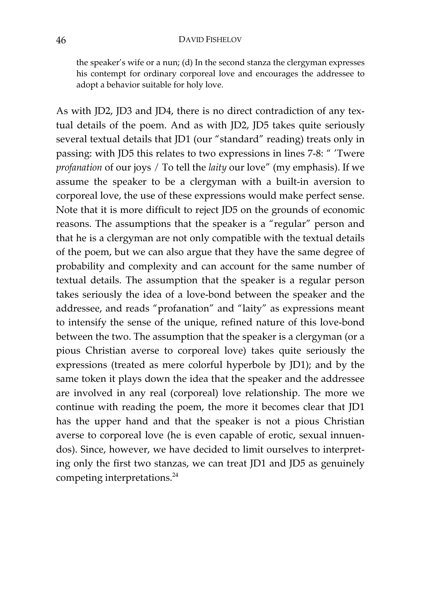the speaker's wife or a nun; (d) In the second stanza the clergyman expresses his contempt for ordinary corporeal love and encourages the addressee to adopt a behavior suitable for holy love.

As with JD2, JD3 and JD4, there is no direct contradiction of any textual details of the poem. And as with JD2, JD5 takes quite seriously several textual details that JD1 (our "standard" reading) treats only in passing: with JD5 this relates to two expressions in lines 7-8: " 'Twere *profanation* of our joys / To tell the *laity* our love" (my emphasis). If we assume the speaker to be a clergyman with a built-in aversion to corporeal love, the use of these expressions would make perfect sense. Note that it is more difficult to reject JD5 on the grounds of economic reasons. The assumptions that the speaker is a "regular" person and that he is a clergyman are not only compatible with the textual details of the poem, but we can also argue that they have the same degree of probability and complexity and can account for the same number of textual details. The assumption that the speaker is a regular person takes seriously the idea of a love-bond between the speaker and the addressee, and reads "profanation" and "laity" as expressions meant to intensify the sense of the unique, refined nature of this love-bond between the two. The assumption that the speaker is a clergyman (or a pious Christian averse to corporeal love) takes quite seriously the expressions (treated as mere colorful hyperbole by JD1); and by the same token it plays down the idea that the speaker and the addressee are involved in any real (corporeal) love relationship. The more we continue with reading the poem, the more it becomes clear that JD1 has the upper hand and that the speaker is not a pious Christian averse to corporeal love (he is even capable of erotic, sexual innuendos). Since, however, we have decided to limit ourselves to interpreting only the first two stanzas, we can treat JD1 and JD5 as genuinely competing interpretations.<sup>24</sup>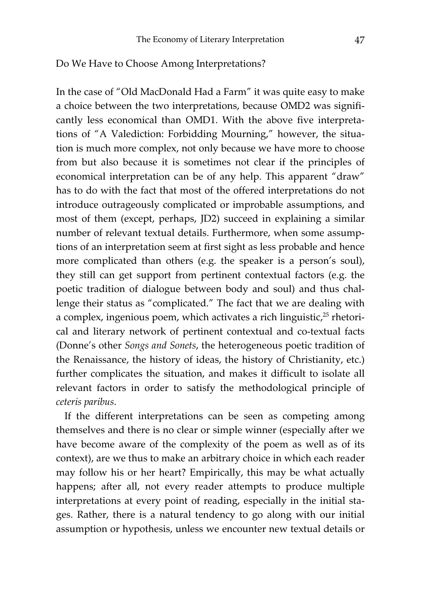### Do We Have to Choose Among Interpretations?

In the case of "Old MacDonald Had a Farm" it was quite easy to make a choice between the two interpretations, because OMD2 was significantly less economical than OMD1. With the above five interpretations of "A Valediction: Forbidding Mourning," however, the situation is much more complex, not only because we have more to choose from but also because it is sometimes not clear if the principles of economical interpretation can be of any help. This apparent "draw" has to do with the fact that most of the offered interpretations do not introduce outrageously complicated or improbable assumptions, and most of them (except, perhaps, JD2) succeed in explaining a similar number of relevant textual details. Furthermore, when some assumptions of an interpretation seem at first sight as less probable and hence more complicated than others (e.g. the speaker is a person's soul), they still can get support from pertinent contextual factors (e.g. the poetic tradition of dialogue between body and soul) and thus challenge their status as "complicated." The fact that we are dealing with a complex, ingenious poem, which activates a rich linguistic, $25$  rhetorical and literary network of pertinent contextual and co-textual facts (Donne's other *Songs and Sonets*, the heterogeneous poetic tradition of the Renaissance, the history of ideas, the history of Christianity, etc.) further complicates the situation, and makes it difficult to isolate all relevant factors in order to satisfy the methodological principle of *ceteris paribus*.

If the different interpretations can be seen as competing among themselves and there is no clear or simple winner (especially after we have become aware of the complexity of the poem as well as of its context), are we thus to make an arbitrary choice in which each reader may follow his or her heart? Empirically, this may be what actually happens; after all, not every reader attempts to produce multiple interpretations at every point of reading, especially in the initial stages. Rather, there is a natural tendency to go along with our initial assumption or hypothesis, unless we encounter new textual details or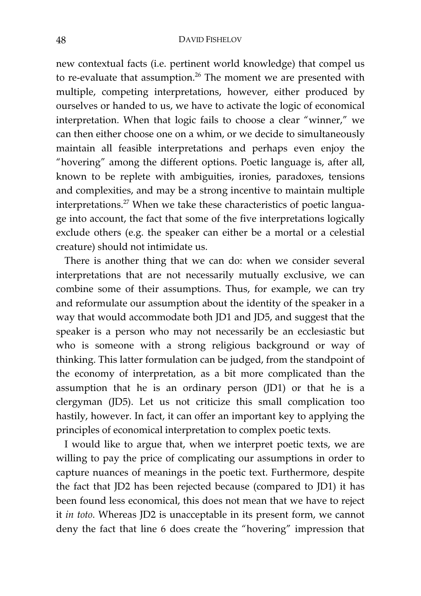#### 48 DAVID FISHELOV

new contextual facts (i.e. pertinent world knowledge) that compel us to re-evaluate that assumption.<sup>26</sup> The moment we are presented with multiple, competing interpretations, however, either produced by ourselves or handed to us, we have to activate the logic of economical interpretation. When that logic fails to choose a clear "winner," we can then either choose one on a whim, or we decide to simultaneously maintain all feasible interpretations and perhaps even enjoy the "hovering" among the different options. Poetic language is, after all, known to be replete with ambiguities, ironies, paradoxes, tensions and complexities, and may be a strong incentive to maintain multiple interpretations.<sup>27</sup> When we take these characteristics of poetic language into account, the fact that some of the five interpretations logically exclude others (e.g. the speaker can either be a mortal or a celestial creature) should not intimidate us.

There is another thing that we can do: when we consider several interpretations that are not necessarily mutually exclusive, we can combine some of their assumptions. Thus, for example, we can try and reformulate our assumption about the identity of the speaker in a way that would accommodate both JD1 and JD5, and suggest that the speaker is a person who may not necessarily be an ecclesiastic but who is someone with a strong religious background or way of thinking. This latter formulation can be judged, from the standpoint of the economy of interpretation, as a bit more complicated than the assumption that he is an ordinary person (JD1) or that he is a clergyman (JD5). Let us not criticize this small complication too hastily, however. In fact, it can offer an important key to applying the principles of economical interpretation to complex poetic texts.

I would like to argue that, when we interpret poetic texts, we are willing to pay the price of complicating our assumptions in order to capture nuances of meanings in the poetic text. Furthermore, despite the fact that JD2 has been rejected because (compared to JD1) it has been found less economical, this does not mean that we have to reject it *in toto*. Whereas JD2 is unacceptable in its present form, we cannot deny the fact that line 6 does create the "hovering" impression that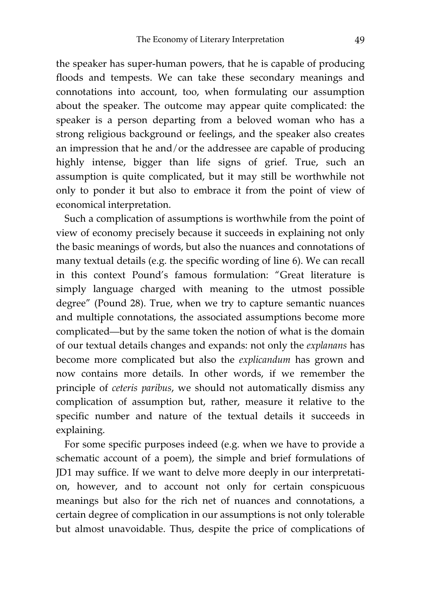the speaker has super-human powers, that he is capable of producing floods and tempests. We can take these secondary meanings and connotations into account, too, when formulating our assumption about the speaker. The outcome may appear quite complicated: the speaker is a person departing from a beloved woman who has a strong religious background or feelings, and the speaker also creates an impression that he and/or the addressee are capable of producing highly intense, bigger than life signs of grief. True, such an assumption is quite complicated, but it may still be worthwhile not only to ponder it but also to embrace it from the point of view of economical interpretation.

Such a complication of assumptions is worthwhile from the point of view of economy precisely because it succeeds in explaining not only the basic meanings of words, but also the nuances and connotations of many textual details (e.g. the specific wording of line 6). We can recall in this context Pound's famous formulation: "Great literature is simply language charged with meaning to the utmost possible degree" (Pound 28). True, when we try to capture semantic nuances and multiple connotations, the associated assumptions become more complicated—but by the same token the notion of what is the domain of our textual details changes and expands: not only the *explanans* has become more complicated but also the *explicandum* has grown and now contains more details. In other words, if we remember the principle of *ceteris paribus*, we should not automatically dismiss any complication of assumption but, rather, measure it relative to the specific number and nature of the textual details it succeeds in explaining.

For some specific purposes indeed (e.g. when we have to provide a schematic account of a poem), the simple and brief formulations of JD1 may suffice. If we want to delve more deeply in our interpretation, however, and to account not only for certain conspicuous meanings but also for the rich net of nuances and connotations, a certain degree of complication in our assumptions is not only tolerable but almost unavoidable. Thus, despite the price of complications of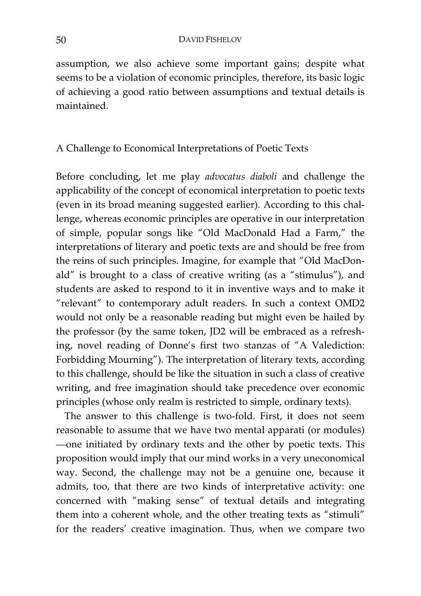assumption, we also achieve some important gains; despite what seems to be a violation of economic principles, therefore, its basic logic of achieving a good ratio between assumptions and textual details is maintained.

# A Challenge to Economical Interpretations of Poetic Texts

Before concluding, let me play *advocatus diaboli* and challenge the applicability of the concept of economical interpretation to poetic texts (even in its broad meaning suggested earlier). According to this challenge, whereas economic principles are operative in our interpretation of simple, popular songs like "Old MacDonald Had a Farm," the interpretations of literary and poetic texts are and should be free from the reins of such principles. Imagine, for example that "Old MacDonald" is brought to a class of creative writing (as a "stimulus"), and students are asked to respond to it in inventive ways and to make it "relevant" to contemporary adult readers. In such a context OMD2 would not only be a reasonable reading but might even be hailed by the professor (by the same token, JD2 will be embraced as a refreshing, novel reading of Donne's first two stanzas of "A Valediction: Forbidding Mourning"). The interpretation of literary texts, according to this challenge, should be like the situation in such a class of creative writing, and free imagination should take precedence over economic principles (whose only realm is restricted to simple, ordinary texts).

The answer to this challenge is two-fold. First, it does not seem reasonable to assume that we have two mental apparati (or modules) —one initiated by ordinary texts and the other by poetic texts. This proposition would imply that our mind works in a very uneconomical way. Second, the challenge may not be a genuine one, because it admits, too, that there are two kinds of interpretative activity: one concerned with "making sense" of textual details and integrating them into a coherent whole, and the other treating texts as "stimuli" for the readers' creative imagination. Thus, when we compare two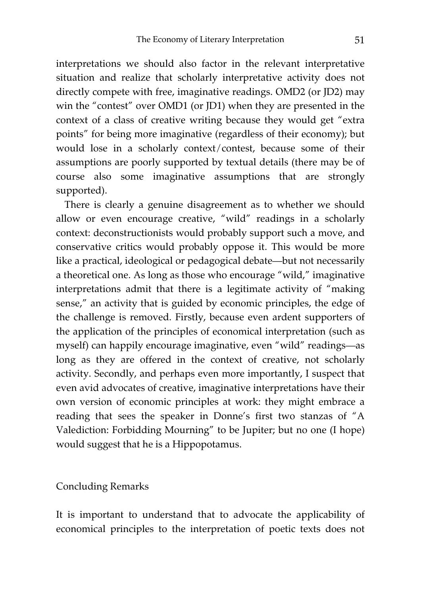interpretations we should also factor in the relevant interpretative situation and realize that scholarly interpretative activity does not directly compete with free, imaginative readings. OMD2 (or JD2) may win the "contest" over OMD1 (or JD1) when they are presented in the context of a class of creative writing because they would get "extra points" for being more imaginative (regardless of their economy); but would lose in a scholarly context/contest, because some of their assumptions are poorly supported by textual details (there may be of course also some imaginative assumptions that are strongly supported).

There is clearly a genuine disagreement as to whether we should allow or even encourage creative, "wild" readings in a scholarly context: deconstructionists would probably support such a move, and conservative critics would probably oppose it. This would be more like a practical, ideological or pedagogical debate—but not necessarily a theoretical one. As long as those who encourage "wild," imaginative interpretations admit that there is a legitimate activity of "making sense," an activity that is guided by economic principles, the edge of the challenge is removed. Firstly, because even ardent supporters of the application of the principles of economical interpretation (such as myself) can happily encourage imaginative, even "wild" readings—as long as they are offered in the context of creative, not scholarly activity. Secondly, and perhaps even more importantly, I suspect that even avid advocates of creative, imaginative interpretations have their own version of economic principles at work: they might embrace a reading that sees the speaker in Donne's first two stanzas of "A Valediction: Forbidding Mourning" to be Jupiter; but no one (I hope) would suggest that he is a Hippopotamus.

## Concluding Remarks

It is important to understand that to advocate the applicability of economical principles to the interpretation of poetic texts does not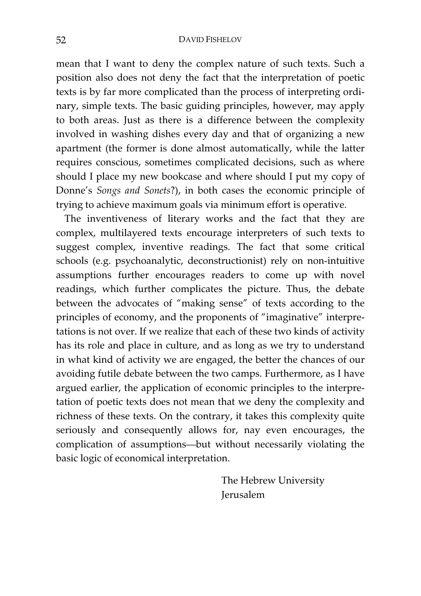mean that I want to deny the complex nature of such texts. Such a position also does not deny the fact that the interpretation of poetic texts is by far more complicated than the process of interpreting ordinary, simple texts. The basic guiding principles, however, may apply to both areas. Just as there is a difference between the complexity involved in washing dishes every day and that of organizing a new apartment (the former is done almost automatically, while the latter requires conscious, sometimes complicated decisions, such as where should I place my new bookcase and where should I put my copy of Donne's *Songs and Sonets*?), in both cases the economic principle of trying to achieve maximum goals via minimum effort is operative.

The inventiveness of literary works and the fact that they are complex, multilayered texts encourage interpreters of such texts to suggest complex, inventive readings. The fact that some critical schools (e.g. psychoanalytic, deconstructionist) rely on non-intuitive assumptions further encourages readers to come up with novel readings, which further complicates the picture. Thus, the debate between the advocates of "making sense" of texts according to the principles of economy, and the proponents of "imaginative" interpretations is not over. If we realize that each of these two kinds of activity has its role and place in culture, and as long as we try to understand in what kind of activity we are engaged, the better the chances of our avoiding futile debate between the two camps. Furthermore, as I have argued earlier, the application of economic principles to the interpretation of poetic texts does not mean that we deny the complexity and richness of these texts. On the contrary, it takes this complexity quite seriously and consequently allows for, nay even encourages, the complication of assumptions—but without necessarily violating the basic logic of economical interpretation.

> The Hebrew University Jerusalem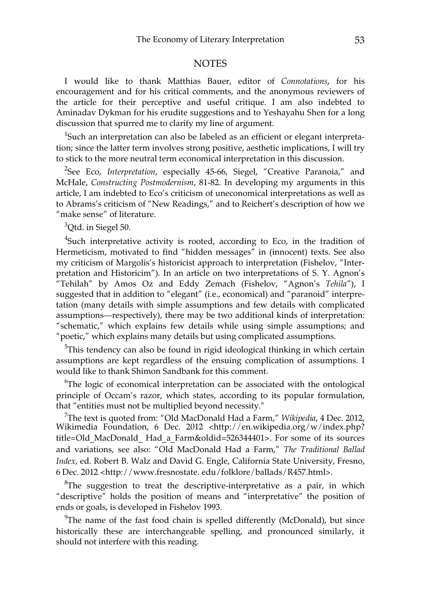#### **NOTES**

I would like to thank Matthias Bauer, editor of *Connotations*, for his encouragement and for his critical comments, and the anonymous reviewers of the article for their perceptive and useful critique. I am also indebted to Aminadav Dykman for his erudite suggestions and to Yeshayahu Shen for a long discussion that spurred me to clarify my line of argument.

 $1$ Such an interpretation can also be labeled as an efficient or elegant interpretation; since the latter term involves strong positive, aesthetic implications, I will try to stick to the more neutral term economical interpretation in this discussion.

<sup>2</sup>See Eco, *Interpretation*, especially 45-66, Siegel, "Creative Paranoia," and McHale, *Constructing Postmodernism*, 81-82. In developing my arguments in this article, I am indebted to Eco's criticism of uneconomical interpretations as well as to Abrams's criticism of "New Readings," and to Reichert's description of how we "make sense" of literature.

<sup>3</sup>Qtd. in Siegel 50.

 ${}^{4}$ Such interpretative activity is rooted, according to Eco, in the tradition of Hermeticism, motivated to find "hidden messages" in (innocent) texts. See also my criticism of Margolis's historicist approach to interpretation (Fishelov, "Interpretation and Historicim"). In an article on two interpretations of S. Y. Agnon's "Tehilah" by Amos Oz and Eddy Zemach (Fishelov, "Agnon's *Tehila*"), I suggested that in addition to "elegant" (i.e., economical) and "paranoid" interpretation (many details with simple assumptions and few details with complicated assumptions—respectively), there may be two additional kinds of interpretation: "schematic," which explains few details while using simple assumptions; and "poetic," which explains many details but using complicated assumptions.

 $5$ This tendency can also be found in rigid ideological thinking in which certain assumptions are kept regardless of the ensuing complication of assumptions. I would like to thank Shimon Sandbank for this comment.

<sup>6</sup>The logic of economical interpretation can be associated with the ontological principle of Occam's razor, which states, according to its popular formulation, that "entities must not be multiplied beyond necessity."

7 The text is quoted from: "Old MacDonald Had a Farm," *Wikipedia*, 4 Dec. 2012, Wikimedia Foundation, 6 Dec. 2012 <http://en.wikipedia.org/w/index.php? title=Old\_MacDonald\_ Had\_a\_Farm&oldid=526344401>. For some of its sources and variations, see also: "Old MacDonald Had a Farm," *The Traditional Ballad Index*, ed. Robert B. Walz and David G. Engle, California State University, Fresno, 6 Dec. 2012 <http://www.fresnostate. edu/folklore/ballads/R457.html>.

 ${}^{8}$ The suggestion to treat the descriptive-interpretative as a pair, in which "descriptive" holds the position of means and "interpretative" the position of ends or goals, is developed in Fishelov 1993.

 $9$ The name of the fast food chain is spelled differently (McDonald), but since historically these are interchangeable spelling, and pronounced similarly, it should not interfere with this reading.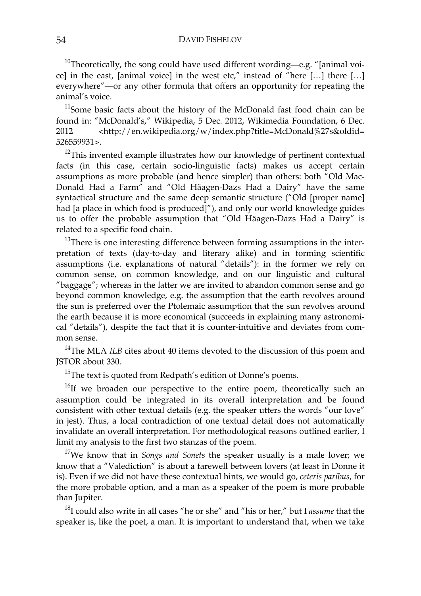$10$ Theoretically, the song could have used different wording—e.g. "[animal voice] in the east, [animal voice] in the west etc," instead of "here […] there […] everywhere"—or any other formula that offers an opportunity for repeating the animal's voice.

<sup>11</sup>Some basic facts about the history of the McDonald fast food chain can be found in: "McDonald's," Wikipedia, 5 Dec. 2012, Wikimedia Foundation, 6 Dec. 2012 <http://en.wikipedia.org/w/index.php?title=McDonald%27s&oldid= 526559931>.

 $12$ This invented example illustrates how our knowledge of pertinent contextual facts (in this case, certain socio-linguistic facts) makes us accept certain assumptions as more probable (and hence simpler) than others: both "Old Mac-Donald Had a Farm" and "Old Häagen-Dazs Had a Dairy" have the same syntactical structure and the same deep semantic structure ("Old [proper name] had [a place in which food is produced]"), and only our world knowledge guides us to offer the probable assumption that "Old Häagen-Dazs Had a Dairy" is related to a specific food chain.

 $13$ There is one interesting difference between forming assumptions in the interpretation of texts (day-to-day and literary alike) and in forming scientific assumptions (i.e. explanations of natural "details"): in the former we rely on common sense, on common knowledge, and on our linguistic and cultural "baggage"; whereas in the latter we are invited to abandon common sense and go beyond common knowledge, e.g. the assumption that the earth revolves around the sun is preferred over the Ptolemaic assumption that the sun revolves around the earth because it is more economical (succeeds in explaining many astronomical "details"), despite the fact that it is counter-intuitive and deviates from common sense.

<sup>14</sup>The MLA *ILB* cites about 40 items devoted to the discussion of this poem and JSTOR about 330.

<sup>15</sup>The text is quoted from Redpath's edition of Donne's poems.

<sup>16</sup>If we broaden our perspective to the entire poem, theoretically such an assumption could be integrated in its overall interpretation and be found consistent with other textual details (e.g. the speaker utters the words "our love" in jest). Thus, a local contradiction of one textual detail does not automatically invalidate an overall interpretation. For methodological reasons outlined earlier, I limit my analysis to the first two stanzas of the poem.

17We know that in *Songs and Sonets* the speaker usually is a male lover; we know that a "Valediction" is about a farewell between lovers (at least in Donne it is). Even if we did not have these contextual hints, we would go, *ceteris paribus*, for the more probable option, and a man as a speaker of the poem is more probable than Jupiter.

18I could also write in all cases "he or she" and "his or her," but I *assume* that the speaker is, like the poet, a man. It is important to understand that, when we take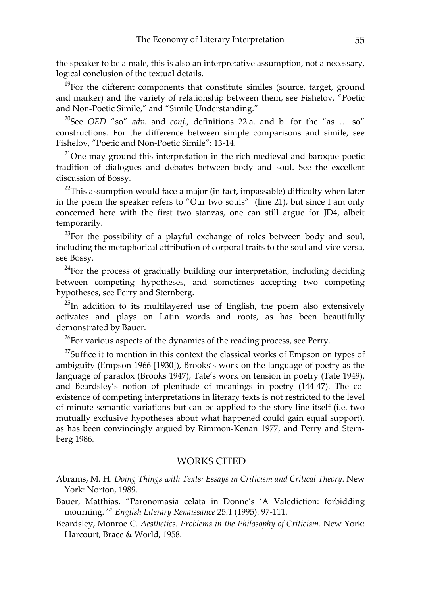the speaker to be a male, this is also an interpretative assumption, not a necessary, logical conclusion of the textual details.

 $19$ For the different components that constitute similes (source, target, ground and marker) and the variety of relationship between them, see Fishelov, "Poetic and Non-Poetic Simile," and "Simile Understanding."

20See *OED* "so" *adv.* and *conj.*, definitions 22.a. and b. for the "as … so" constructions. For the difference between simple comparisons and simile, see Fishelov, "Poetic and Non-Poetic Simile": 13-14.

 $21$ One may ground this interpretation in the rich medieval and baroque poetic tradition of dialogues and debates between body and soul. See the excellent discussion of Bossy.

 $22$ This assumption would face a major (in fact, impassable) difficulty when later in the poem the speaker refers to "Our two souls" (line 21), but since I am only concerned here with the first two stanzas, one can still argue for JD4, albeit temporarily.

 $^{23}$ For the possibility of a playful exchange of roles between body and soul, including the metaphorical attribution of corporal traits to the soul and vice versa, see Bossy.

 $24$ For the process of gradually building our interpretation, including deciding between competing hypotheses, and sometimes accepting two competing hypotheses, see Perry and Sternberg.

 $25$ In addition to its multilayered use of English, the poem also extensively activates and plays on Latin words and roots, as has been beautifully demonstrated by Bauer.

 $^{26}$ For various aspects of the dynamics of the reading process, see Perry.

 $27$ Suffice it to mention in this context the classical works of Empson on types of ambiguity (Empson 1966 [1930]), Brooks's work on the language of poetry as the language of paradox (Brooks 1947), Tate's work on tension in poetry (Tate 1949), and Beardsley's notion of plenitude of meanings in poetry (144-47). The coexistence of competing interpretations in literary texts is not restricted to the level of minute semantic variations but can be applied to the story-line itself (i.e. two mutually exclusive hypotheses about what happened could gain equal support), as has been convincingly argued by Rimmon-Kenan 1977, and Perry and Sternberg 1986.

#### WORKS CITED

- Abrams, M. H. *Doing Things with Texts: Essays in Criticism and Critical Theory*. New York: Norton, 1989.
- Bauer, Matthias. "Paronomasia celata in Donne's 'A Valediction: forbidding mourning. '" *English Literary Renaissance* 25.1 (1995): 97-111.

Beardsley, Monroe C. *Aesthetics: Problems in the Philosophy of Criticism*. New York: Harcourt, Brace & World, 1958.